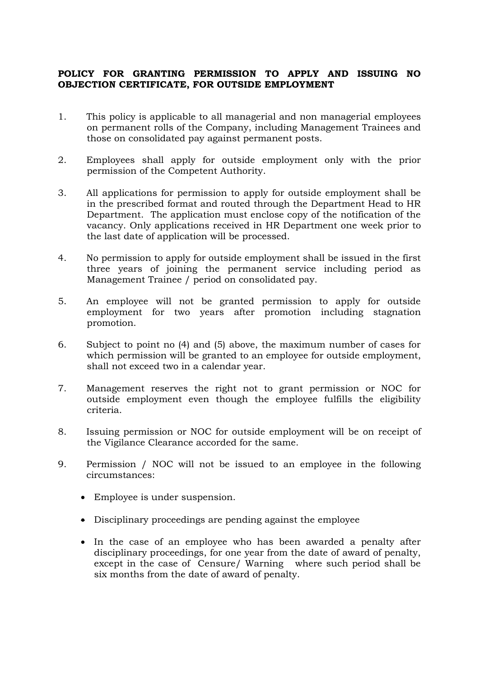## **POLICY FOR GRANTING PERMISSION TO APPLY AND ISSUING NO OBJECTION CERTIFICATE, FOR OUTSIDE EMPLOYMENT**

- 1. This policy is applicable to all managerial and non managerial employees on permanent rolls of the Company, including Management Trainees and those on consolidated pay against permanent posts.
- 2. Employees shall apply for outside employment only with the prior permission of the Competent Authority.
- 3. All applications for permission to apply for outside employment shall be in the prescribed format and routed through the Department Head to HR Department. The application must enclose copy of the notification of the vacancy. Only applications received in HR Department one week prior to the last date of application will be processed.
- 4. No permission to apply for outside employment shall be issued in the first three years of joining the permanent service including period as Management Trainee / period on consolidated pay.
- 5. An employee will not be granted permission to apply for outside employment for two years after promotion including stagnation promotion.
- 6. Subject to point no (4) and (5) above, the maximum number of cases for which permission will be granted to an employee for outside employment, shall not exceed two in a calendar year.
- 7. Management reserves the right not to grant permission or NOC for outside employment even though the employee fulfills the eligibility criteria.
- 8. Issuing permission or NOC for outside employment will be on receipt of the Vigilance Clearance accorded for the same.
- 9. Permission / NOC will not be issued to an employee in the following circumstances:
	- Employee is under suspension.
	- Disciplinary proceedings are pending against the employee
	- In the case of an employee who has been awarded a penalty after disciplinary proceedings, for one year from the date of award of penalty, except in the case of Censure/ Warning where such period shall be six months from the date of award of penalty.